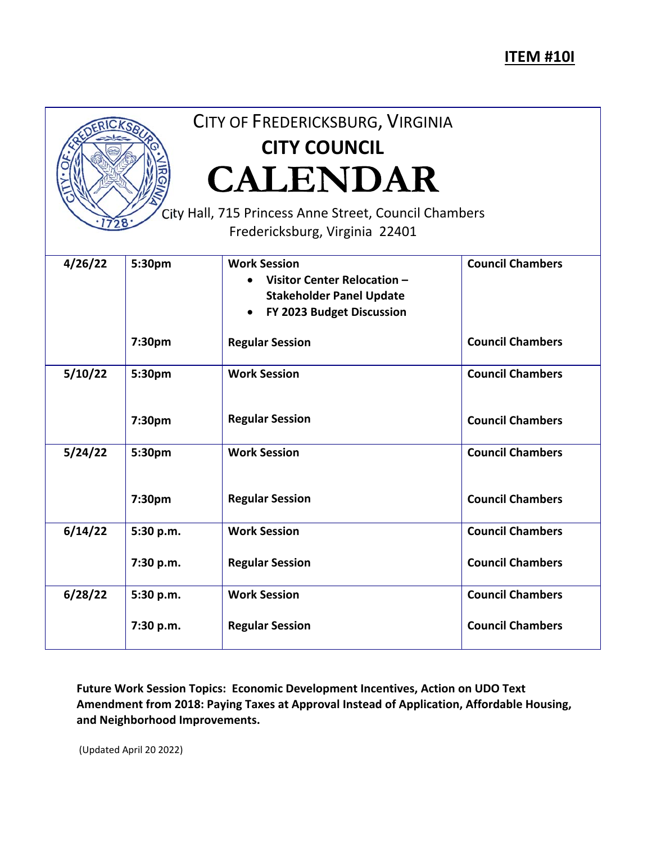## **ITEM #10I**



## CITY OF FREDERICKSBURG, VIRGINIA **CITY COUNCIL CALENDAR**

City Hall, 715 Princess Anne Street, Council Chambers Fredericksburg, Virginia 22401

| 4/26/22 | 5:30pm    | <b>Work Session</b><br>Visitor Center Relocation -<br>$\bullet$<br><b>Stakeholder Panel Update</b><br>FY 2023 Budget Discussion<br>$\bullet$ | <b>Council Chambers</b> |
|---------|-----------|----------------------------------------------------------------------------------------------------------------------------------------------|-------------------------|
|         | 7:30pm    | <b>Regular Session</b>                                                                                                                       | <b>Council Chambers</b> |
| 5/10/22 | 5:30pm    | <b>Work Session</b>                                                                                                                          | <b>Council Chambers</b> |
|         | 7:30pm    | <b>Regular Session</b>                                                                                                                       | <b>Council Chambers</b> |
| 5/24/22 | 5:30pm    | <b>Work Session</b>                                                                                                                          | <b>Council Chambers</b> |
|         | 7:30pm    | <b>Regular Session</b>                                                                                                                       | <b>Council Chambers</b> |
| 6/14/22 | 5:30 p.m. | <b>Work Session</b>                                                                                                                          | <b>Council Chambers</b> |
|         | 7:30 p.m. | <b>Regular Session</b>                                                                                                                       | <b>Council Chambers</b> |
| 6/28/22 | 5:30 p.m. | <b>Work Session</b>                                                                                                                          | <b>Council Chambers</b> |
|         | 7:30 p.m. | <b>Regular Session</b>                                                                                                                       | <b>Council Chambers</b> |

**Future Work Session Topics: Economic Development Incentives, Action on UDO Text Amendment from 2018: Paying Taxes at Approval Instead of Application, Affordable Housing, and Neighborhood Improvements.** 

(Updated April 20 2022)